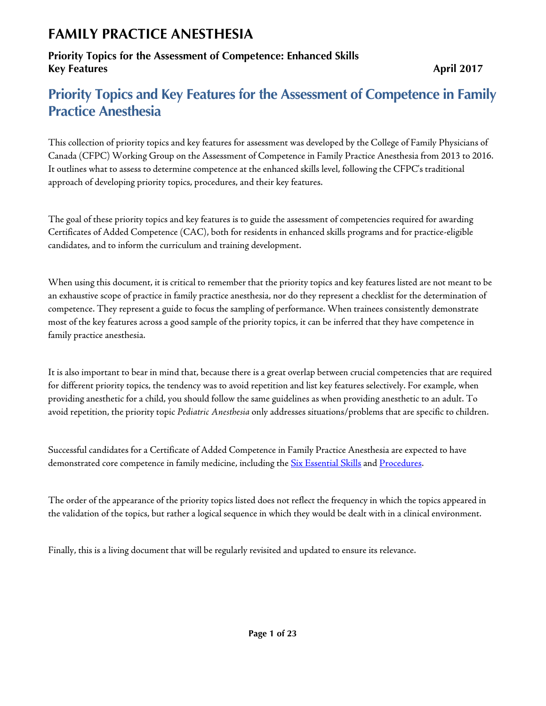## **Priority Topics for the Assessment of Competence: Enhanced Skills Key Features** April 2017

# **Priority Topics and Key Features for the Assessment of Competence in Family Practice Anesthesia**

This collection of priority topics and key features for assessment was developed by the College of Family Physicians of Canada (CFPC) Working Group on the Assessment of Competence in Family Practice Anesthesia from 2013 to 2016. It outlines what to assess to determine competence at the enhanced skills level, following the CFPC's traditional approach of developing priority topics, procedures, and their key features.

The goal of these priority topics and key features is to guide the assessment of competencies required for awarding Certificates of Added Competence (CAC), both for residents in enhanced skills programs and for practice-eligible candidates, and to inform the curriculum and training development.

When using this document, it is critical to remember that the priority topics and key features listed are not meant to be an exhaustive scope of practice in family practice anesthesia, nor do they represent a checklist for the determination of competence. They represent a guide to focus the sampling of performance. When trainees consistently demonstrate most of the key features across a good sample of the priority topics, it can be inferred that they have competence in family practice anesthesia.

It is also important to bear in mind that, because there is a great overlap between crucial competencies that are required for different priority topics, the tendency was to avoid repetition and list key features selectively. For example, when providing anesthetic for a child, you should follow the same guidelines as when providing anesthetic to an adult. To avoid repetition, the priority topic *Pediatric Anesthesia* only addresses situations/problems that are specific to children.

Successful candidates for a Certificate of Added Competence in Family Practice Anesthesia are expected to have demonstrated core competence in family medicine, including the [Six Essential Skills](http://www.cfpc.ca/uploadedFiles/Education/Part%20II%20Evaluation%20objectives.pdf) an[d Procedures.](http://www.cfpc.ca/uploadedFiles/Education/Certification_in_Family_Medicine_Examination/Definition%20of%20Competence%20Complete%20Document%20with%20skills%20and%20phases.pdf#page=62)

The order of the appearance of the priority topics listed does not reflect the frequency in which the topics appeared in the validation of the topics, but rather a logical sequence in which they would be dealt with in a clinical environment.

Finally, this is a living document that will be regularly revisited and updated to ensure its relevance.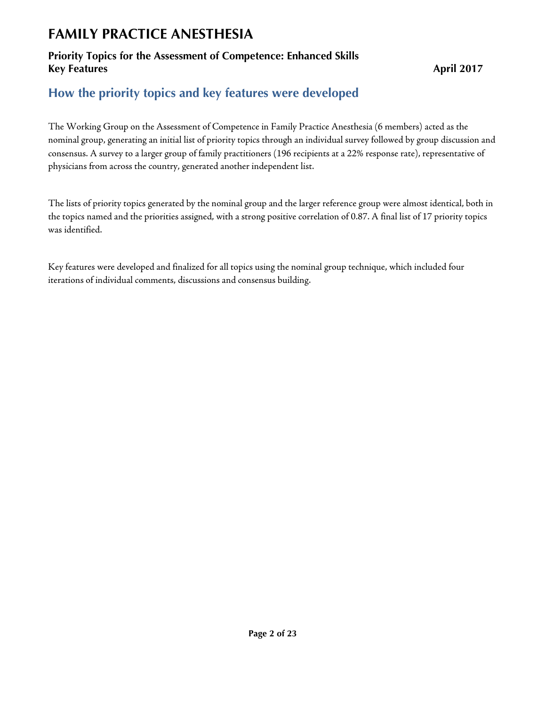## **Priority Topics for the Assessment of Competence: Enhanced Skills Key Features** April 2017

## **How the priority topics and key features were developed**

The Working Group on the Assessment of Competence in Family Practice Anesthesia (6 members) acted as the nominal group, generating an initial list of priority topics through an individual survey followed by group discussion and consensus. A survey to a larger group of family practitioners (196 recipients at a 22% response rate), representative of physicians from across the country, generated another independent list.

The lists of priority topics generated by the nominal group and the larger reference group were almost identical, both in the topics named and the priorities assigned, with a strong positive correlation of 0.87. A final list of 17 priority topics was identified.

Key features were developed and finalized for all topics using the nominal group technique, which included four iterations of individual comments, discussions and consensus building.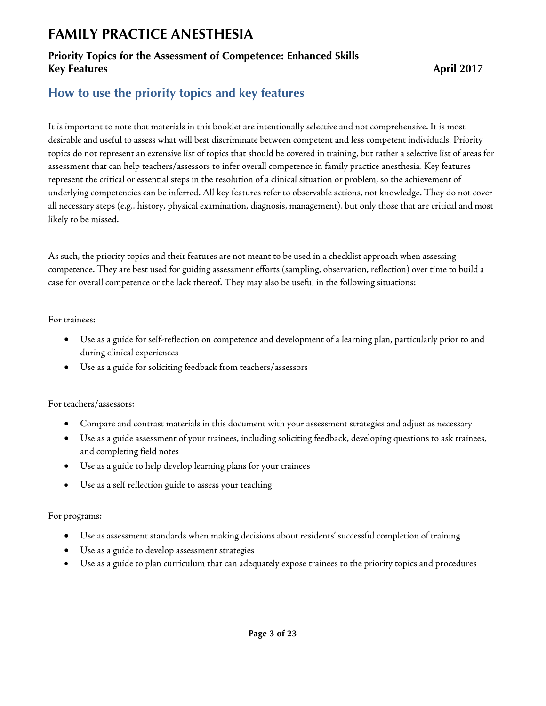## **Priority Topics for the Assessment of Competence: Enhanced Skills Key Features** April 2017

# **How to use the priority topics and key features**

It is important to note that materials in this booklet are intentionally selective and not comprehensive. It is most desirable and useful to assess what will best discriminate between competent and less competent individuals. Priority topics do not represent an extensive list of topics that should be covered in training, but rather a selective list of areas for assessment that can help teachers/assessors to infer overall competence in family practice anesthesia. Key features represent the critical or essential steps in the resolution of a clinical situation or problem, so the achievement of underlying competencies can be inferred. All key features refer to observable actions, not knowledge. They do not cover all necessary steps (e.g., history, physical examination, diagnosis, management), but only those that are critical and most likely to be missed.

As such, the priority topics and their features are not meant to be used in a checklist approach when assessing competence. They are best used for guiding assessment efforts (sampling, observation, reflection) over time to build a case for overall competence or the lack thereof. They may also be useful in the following situations:

For trainees:

- Use as a guide for self-reflection on competence and development of a learning plan, particularly prior to and during clinical experiences
- Use as a guide for soliciting feedback from teachers/assessors

For teachers/assessors:

- Compare and contrast materials in this document with your assessment strategies and adjust as necessary
- Use as a guide assessment of your trainees, including soliciting feedback, developing questions to ask trainees, and completing field notes
- Use as a guide to help develop learning plans for your trainees
- Use as a self reflection guide to assess your teaching

### For programs:

- Use as assessment standards when making decisions about residents' successful completion of training
- Use as a guide to develop assessment strategies
- Use as a guide to plan curriculum that can adequately expose trainees to the priority topics and procedures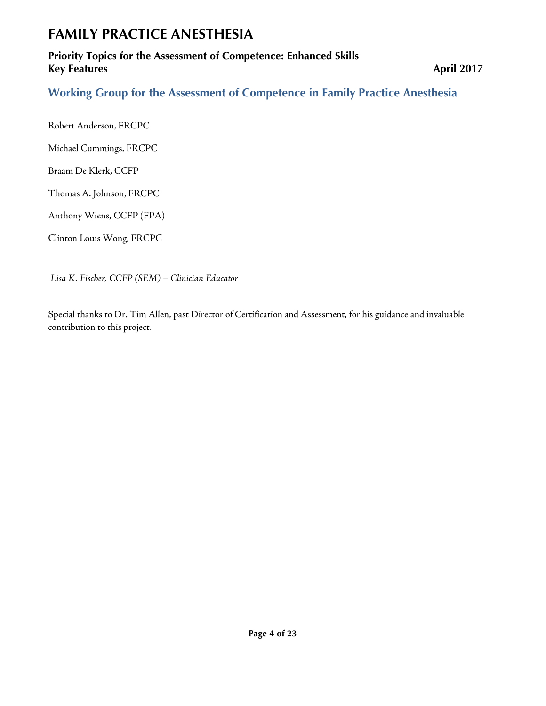### **Priority Topics for the Assessment of Competence: Enhanced Skills Key Features** April 2017

**Working Group for the Assessment of Competence in Family Practice Anesthesia** 

Robert Anderson, FRCPC

Michael Cummings, FRCPC

Braam De Klerk, CCFP

Thomas A. Johnson, FRCPC

Anthony Wiens, CCFP (FPA)

Clinton Louis Wong, FRCPC

*Lisa K. Fischer, CCFP (SEM) – Clinician Educator*

Special thanks to Dr. Tim Allen, past Director of Certification and Assessment, for his guidance and invaluable contribution to this project.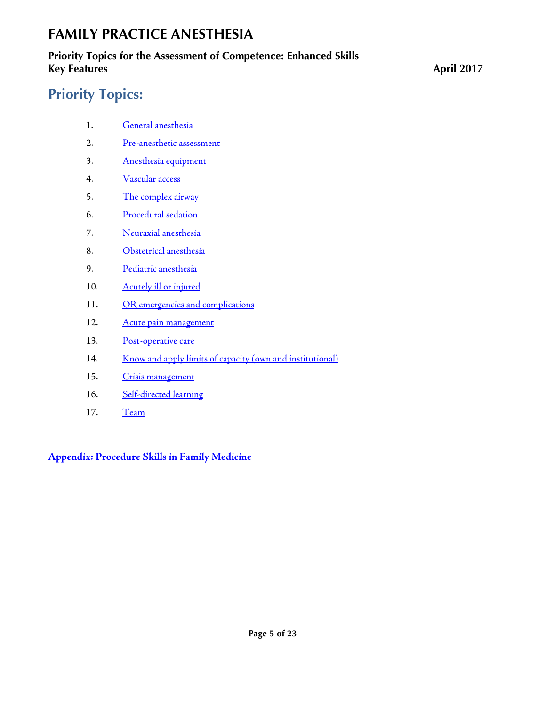## **Priority Topics for the Assessment of Competence: Enhanced Skills Key Features** April 2017

# **Priority Topics:**

- 1. [General anesthesia](#page-5-0)
- 2. [Pre-anesthetic](#page-6-0) assessment
- 3. [Anesthesia](#page-7-0) equipment
- 4. [Vascular access](#page-8-0)
- 5. [The complex airway](#page-9-0)
- 6. [Procedural sedation](#page-10-0)
- 7. [Neuraxial anesthesia](#page-11-0)
- 8. [Obstetrical anesthesia](#page-12-0)
- 9. [Pediatric anesthesia](#page-13-0)
- 10. [Acutely ill or injured](#page-14-0)
- 11. [OR emergencies and complications](#page-15-0)
- 12. [Acute pain management](#page-16-0)
- 13. [Post-operative care](#page-17-0)
- 14. [Know and apply limits of capacity \(own and institutional\)](#page-18-0)
- 15. [Crisis management](#page-19-0)
- 16. [Self-directed learning](#page-20-0)
- 17. [Team](#page-21-0)

**[Appendix: Procedure Skills in Family Medicine](#page-22-0)**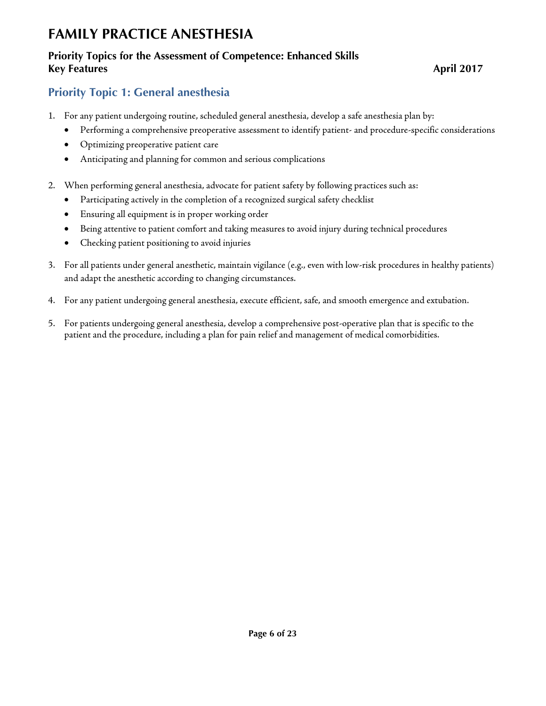### **Priority Topics for the Assessment of Competence: Enhanced Skills Key Features** April 2017

## <span id="page-5-0"></span>**Priority Topic 1: General anesthesia**

- 1. For any patient undergoing routine, scheduled general anesthesia, develop a safe anesthesia plan by:
	- Performing a comprehensive preoperative assessment to identify patient- and procedure-specific considerations
	- Optimizing preoperative patient care
	- Anticipating and planning for common and serious complications
- 2. When performing general anesthesia, advocate for patient safety by following practices such as:
	- Participating actively in the completion of a recognized surgical safety checklist
	- Ensuring all equipment is in proper working order
	- Being attentive to patient comfort and taking measures to avoid injury during technical procedures
	- Checking patient positioning to avoid injuries
- 3. For all patients under general anesthetic, maintain vigilance (e.g., even with low-risk procedures in healthy patients) and adapt the anesthetic according to changing circumstances.
- 4. For any patient undergoing general anesthesia, execute efficient, safe, and smooth emergence and extubation.
- 5. For patients undergoing general anesthesia, develop a comprehensive post-operative plan that is specific to the patient and the procedure, including a plan for pain relief and management of medical comorbidities.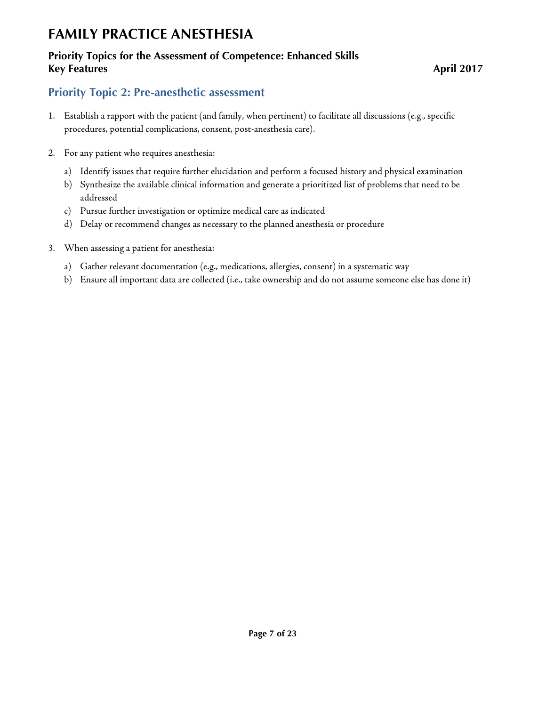## **Priority Topics for the Assessment of Competence: Enhanced Skills Key Features** April 2017

## <span id="page-6-0"></span>**Priority Topic 2: Pre-anesthetic assessment**

- 1. Establish a rapport with the patient (and family, when pertinent) to facilitate all discussions (e.g., specific procedures, potential complications, consent, post-anesthesia care).
- 2. For any patient who requires anesthesia:
	- a) Identify issues that require further elucidation and perform a focused history and physical examination
	- b) Synthesize the available clinical information and generate a prioritized list of problems that need to be addressed
	- c) Pursue further investigation or optimize medical care as indicated
	- d) Delay or recommend changes as necessary to the planned anesthesia or procedure
- 3. When assessing a patient for anesthesia:
	- a) Gather relevant documentation (e.g., medications, allergies, consent) in a systematic way
	- b) Ensure all important data are collected (i.e., take ownership and do not assume someone else has done it)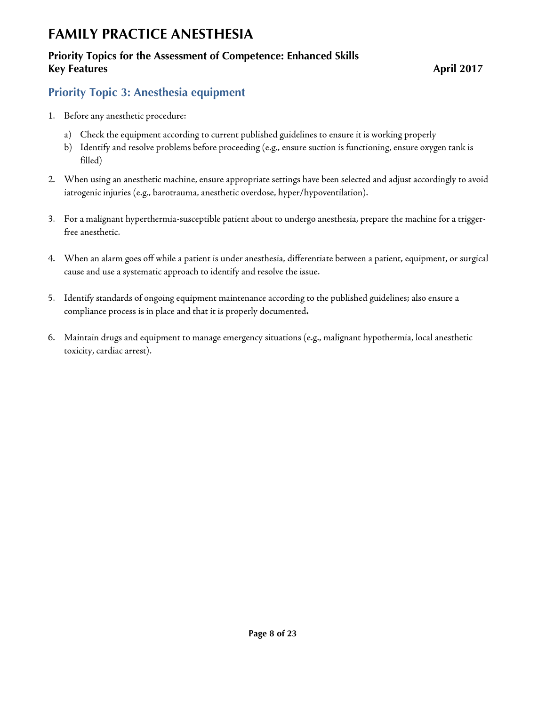## **Priority Topics for the Assessment of Competence: Enhanced Skills Key Features** April 2017

## <span id="page-7-0"></span>**Priority Topic 3: Anesthesia equipment**

- 1. Before any anesthetic procedure:
	- a) Check the equipment according to current published guidelines to ensure it is working properly
	- b) Identify and resolve problems before proceeding (e.g., ensure suction is functioning, ensure oxygen tank is filled)
- 2. When using an anesthetic machine, ensure appropriate settings have been selected and adjust accordingly to avoid iatrogenic injuries (e.g., barotrauma, anesthetic overdose, hyper/hypoventilation).
- 3. For a malignant hyperthermia-susceptible patient about to undergo anesthesia, prepare the machine for a triggerfree anesthetic.
- 4. When an alarm goes off while a patient is under anesthesia, differentiate between a patient, equipment, or surgical cause and use a systematic approach to identify and resolve the issue.
- 5. Identify standards of ongoing equipment maintenance according to the published guidelines; also ensure a compliance process is in place and that it is properly documented**.**
- 6. Maintain drugs and equipment to manage emergency situations (e.g., malignant hypothermia, local anesthetic toxicity, cardiac arrest).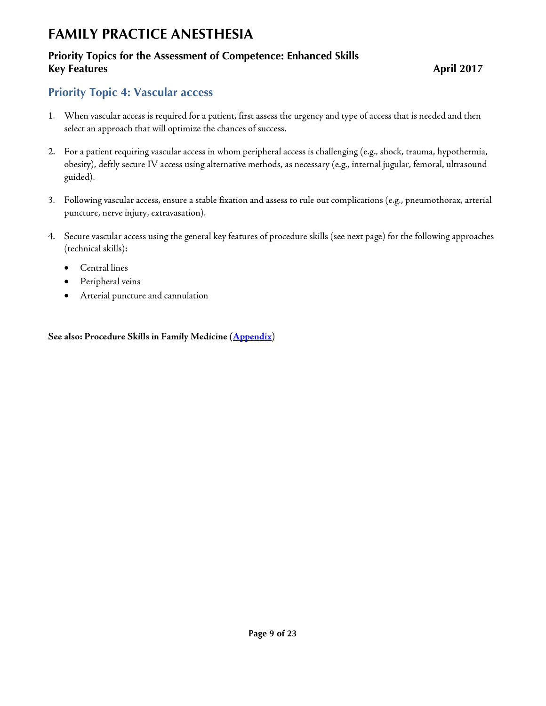## **Priority Topics for the Assessment of Competence: Enhanced Skills Key Features** April 2017

# <span id="page-8-0"></span>**Priority Topic 4: Vascular access**

- 1. When vascular access is required for a patient, first assess the urgency and type of access that is needed and then select an approach that will optimize the chances of success.
- 2. For a patient requiring vascular access in whom peripheral access is challenging (e.g., shock, trauma, hypothermia, obesity), deftly secure IV access using alternative methods, as necessary (e.g., internal jugular, femoral, ultrasound guided).
- 3. Following vascular access, ensure a stable fixation and assess to rule out complications (e.g., pneumothorax, arterial puncture, nerve injury, extravasation).
- 4. Secure vascular access using the general key features of procedure skills (see next page) for the following approaches (technical skills):
	- Central lines
	- Peripheral veins
	- Arterial puncture and cannulation

**See also: Procedure Skills in Family Medicine [\(Appendix\)](#page-22-0)**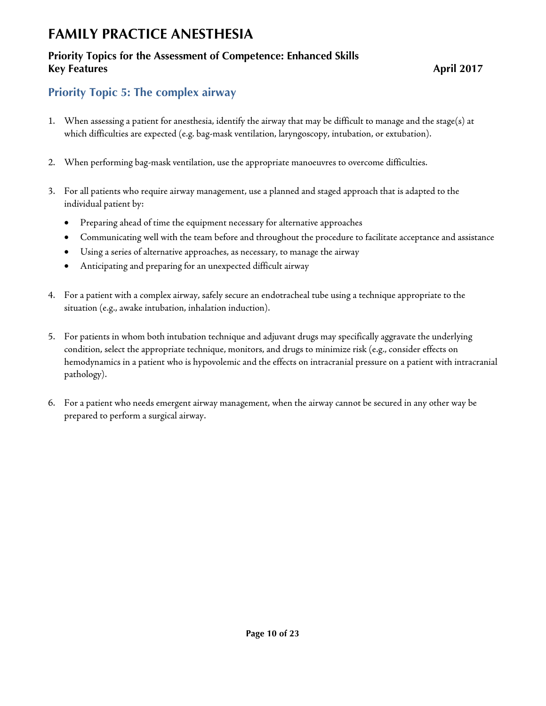## **Priority Topics for the Assessment of Competence: Enhanced Skills Key Features** April 2017

## <span id="page-9-0"></span>**Priority Topic 5: The complex airway**

- 1. When assessing a patient for anesthesia, identify the airway that may be difficult to manage and the stage(s) at which difficulties are expected (e.g. bag-mask ventilation, laryngoscopy, intubation, or extubation).
- 2. When performing bag-mask ventilation, use the appropriate manoeuvres to overcome difficulties.
- 3. For all patients who require airway management, use a planned and staged approach that is adapted to the individual patient by:
	- Preparing ahead of time the equipment necessary for alternative approaches
	- Communicating well with the team before and throughout the procedure to facilitate acceptance and assistance
	- Using a series of alternative approaches, as necessary, to manage the airway
	- Anticipating and preparing for an unexpected difficult airway
- 4. For a patient with a complex airway, safely secure an endotracheal tube using a technique appropriate to the situation (e.g., awake intubation, inhalation induction).
- 5. For patients in whom both intubation technique and adjuvant drugs may specifically aggravate the underlying condition, select the appropriate technique, monitors, and drugs to minimize risk (e.g., consider effects on hemodynamics in a patient who is hypovolemic and the effects on intracranial pressure on a patient with intracranial pathology).
- 6. For a patient who needs emergent airway management, when the airway cannot be secured in any other way be prepared to perform a surgical airway.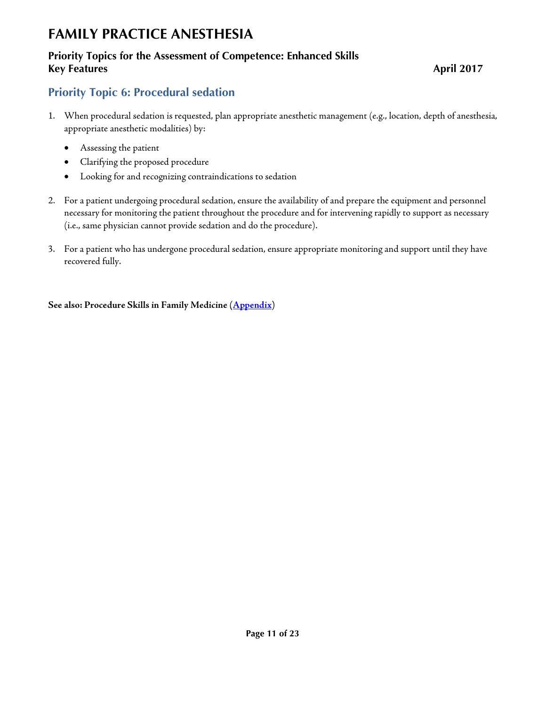## **Priority Topics for the Assessment of Competence: Enhanced Skills Key Features** April 2017

## <span id="page-10-0"></span>**Priority Topic 6: Procedural sedation**

- 1. When procedural sedation is requested, plan appropriate anesthetic management (e.g., location, depth of anesthesia, appropriate anesthetic modalities) by:
	- Assessing the patient
	- Clarifying the proposed procedure
	- Looking for and recognizing contraindications to sedation
- 2. For a patient undergoing procedural sedation, ensure the availability of and prepare the equipment and personnel necessary for monitoring the patient throughout the procedure and for intervening rapidly to support as necessary (i.e., same physician cannot provide sedation and do the procedure).
- 3. For a patient who has undergone procedural sedation, ensure appropriate monitoring and support until they have recovered fully.

**See also: Procedure Skills in Family Medicine [\(Appendix\)](#page-22-0)**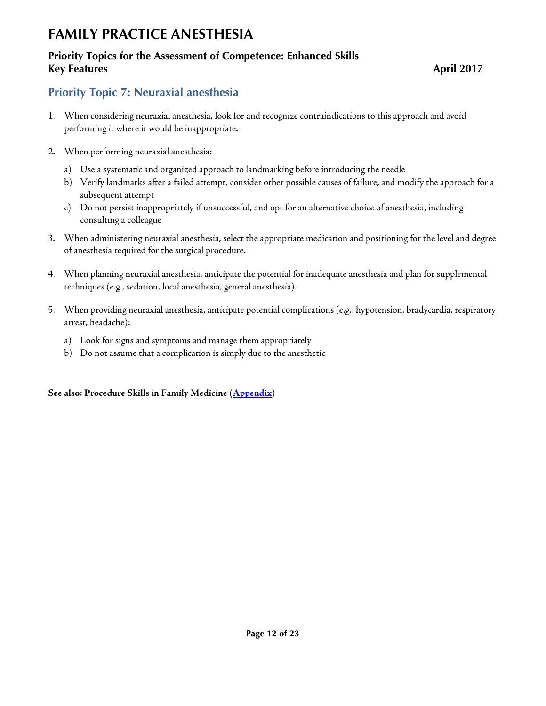## **Priority Topics for the Assessment of Competence: Enhanced Skills Key Features** April 2017

## <span id="page-11-0"></span>**Priority Topic 7: Neuraxial anesthesia**

- 1. When considering neuraxial anesthesia, look for and recognize contraindications to this approach and avoid performing it where it would be inappropriate.
- 2. When performing neuraxial anesthesia:
	- a) Use a systematic and organized approach to landmarking before introducing the needle
	- b) Verify landmarks after a failed attempt, consider other possible causes of failure, and modify the approach for a subsequent attempt
	- c) Do not persist inappropriately if unsuccessful, and opt for an alternative choice of anesthesia, including consulting a colleague
- 3. When administering neuraxial anesthesia, select the appropriate medication and positioning for the level and degree of anesthesia required for the surgical procedure.
- 4. When planning neuraxial anesthesia, anticipate the potential for inadequate anesthesia and plan for supplemental techniques (e.g., sedation, local anesthesia, general anesthesia).
- 5. When providing neuraxial anesthesia, anticipate potential complications (e.g., hypotension, bradycardia, respiratory arrest, headache):
	- a) Look for signs and symptoms and manage them appropriately
	- b) Do not assume that a complication is simply due to the anesthetic

**See also: Procedure Skills in Family Medicine [\(Appendix\)](#page-22-0)**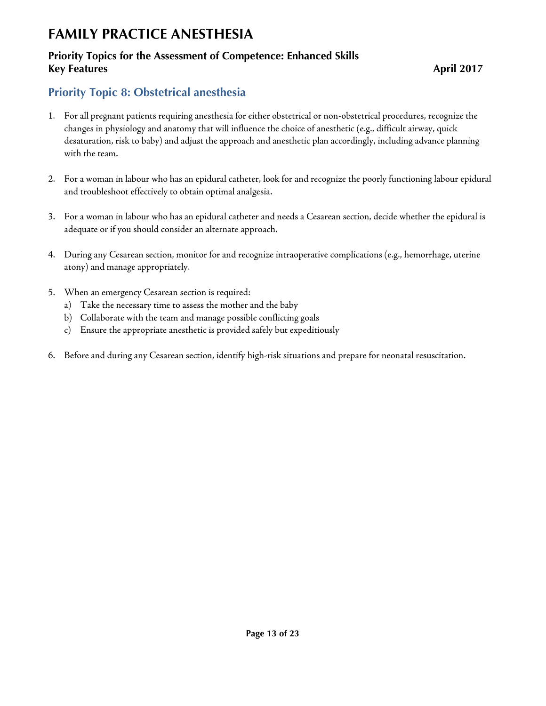### **Priority Topics for the Assessment of Competence: Enhanced Skills Key Features** April 2017

## <span id="page-12-0"></span>**Priority Topic 8: Obstetrical anesthesia**

- 1. For all pregnant patients requiring anesthesia for either obstetrical or non-obstetrical procedures, recognize the changes in physiology and anatomy that will influence the choice of anesthetic (e.g., difficult airway, quick desaturation, risk to baby) and adjust the approach and anesthetic plan accordingly, including advance planning with the team.
- 2. For a woman in labour who has an epidural catheter, look for and recognize the poorly functioning labour epidural and troubleshoot effectively to obtain optimal analgesia.
- 3. For a woman in labour who has an epidural catheter and needs a Cesarean section, decide whether the epidural is adequate or if you should consider an alternate approach.
- 4. During any Cesarean section, monitor for and recognize intraoperative complications (e.g., hemorrhage, uterine atony) and manage appropriately.
- 5. When an emergency Cesarean section is required:
	- a) Take the necessary time to assess the mother and the baby
	- b) Collaborate with the team and manage possible conflicting goals
	- c) Ensure the appropriate anesthetic is provided safely but expeditiously
- 6. Before and during any Cesarean section, identify high-risk situations and prepare for neonatal resuscitation.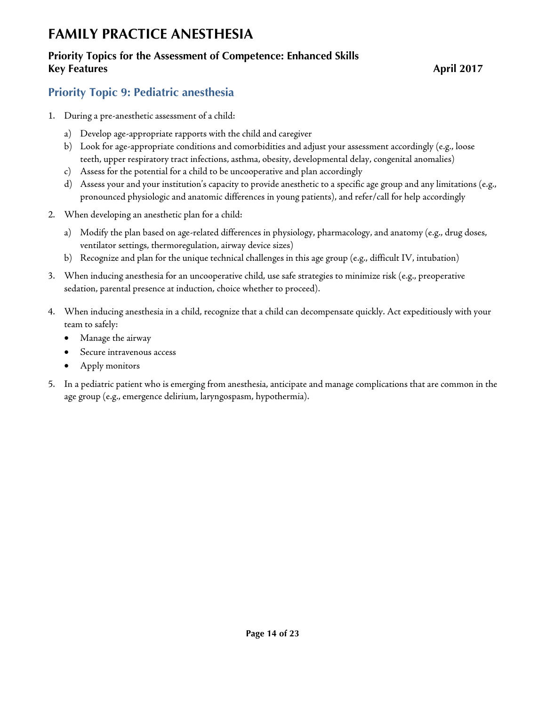## **Priority Topics for the Assessment of Competence: Enhanced Skills Key Features** April 2017

## <span id="page-13-0"></span>**Priority Topic 9: Pediatric anesthesia**

- 1. During a pre-anesthetic assessment of a child:
	- a) Develop age-appropriate rapports with the child and caregiver
	- b) Look for age-appropriate conditions and comorbidities and adjust your assessment accordingly (e.g., loose teeth, upper respiratory tract infections, asthma, obesity, developmental delay, congenital anomalies)
	- c) Assess for the potential for a child to be uncooperative and plan accordingly
	- d) Assess your and your institution's capacity to provide anesthetic to a specific age group and any limitations (e.g., pronounced physiologic and anatomic differences in young patients), and refer/call for help accordingly
- 2. When developing an anesthetic plan for a child:
	- a) Modify the plan based on age-related differences in physiology, pharmacology, and anatomy (e.g., drug doses, ventilator settings, thermoregulation, airway device sizes)
	- b) Recognize and plan for the unique technical challenges in this age group (e.g., difficult IV, intubation)
- 3. When inducing anesthesia for an uncooperative child, use safe strategies to minimize risk (e.g., preoperative sedation, parental presence at induction, choice whether to proceed).
- 4. When inducing anesthesia in a child, recognize that a child can decompensate quickly. Act expeditiously with your team to safely:
	- Manage the airway
	- Secure intravenous access
	- Apply monitors
- 5. In a pediatric patient who is emerging from anesthesia, anticipate and manage complications that are common in the age group (e.g., emergence delirium, laryngospasm, hypothermia).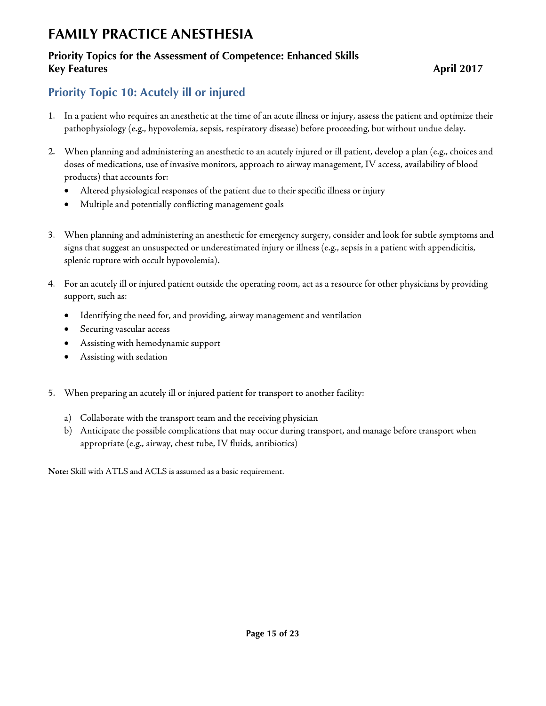### **Priority Topics for the Assessment of Competence: Enhanced Skills Key Features** April 2017

## <span id="page-14-0"></span>**Priority Topic 10: Acutely ill or injured**

- 1. In a patient who requires an anesthetic at the time of an acute illness or injury, assess the patient and optimize their pathophysiology (e.g., hypovolemia, sepsis, respiratory disease) before proceeding, but without undue delay.
- 2. When planning and administering an anesthetic to an acutely injured or ill patient, develop a plan (e.g., choices and doses of medications, use of invasive monitors, approach to airway management, IV access, availability of blood products) that accounts for:
	- Altered physiological responses of the patient due to their specific illness or injury
	- Multiple and potentially conflicting management goals
- 3. When planning and administering an anesthetic for emergency surgery, consider and look for subtle symptoms and signs that suggest an unsuspected or underestimated injury or illness (e.g., sepsis in a patient with appendicitis, splenic rupture with occult hypovolemia).
- 4. For an acutely ill or injured patient outside the operating room, act as a resource for other physicians by providing support, such as:
	- Identifying the need for, and providing, airway management and ventilation
	- Securing vascular access
	- Assisting with hemodynamic support
	- Assisting with sedation
- 5. When preparing an acutely ill or injured patient for transport to another facility:
	- a) Collaborate with the transport team and the receiving physician
	- b) Anticipate the possible complications that may occur during transport, and manage before transport when appropriate (e.g., airway, chest tube, IV fluids, antibiotics)

**Note:** Skill with ATLS and ACLS is assumed as a basic requirement.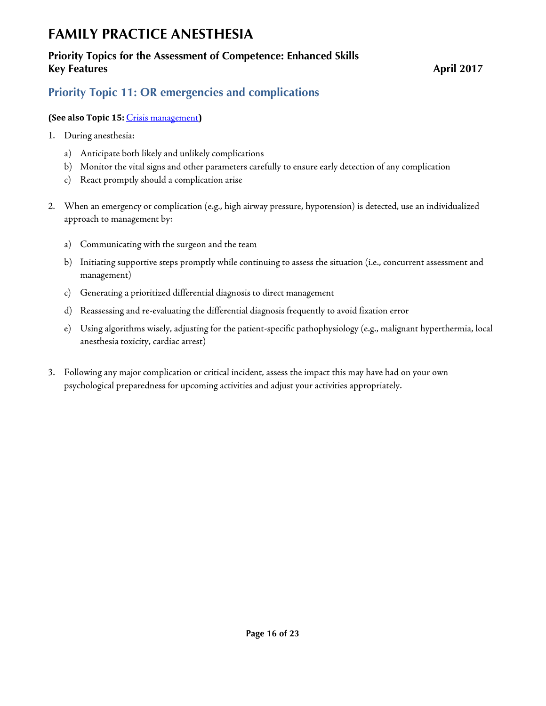## **Priority Topics for the Assessment of Competence: Enhanced Skills Key Features** April 2017

## <span id="page-15-0"></span>**Priority Topic 11: OR emergencies and complications**

### **(See also Topic 15:** [Crisis management](#page-19-0)**)**

- 1. During anesthesia:
	- a) Anticipate both likely and unlikely complications
	- b) Monitor the vital signs and other parameters carefully to ensure early detection of any complication
	- c) React promptly should a complication arise
- 2. When an emergency or complication (e.g., high airway pressure, hypotension) is detected, use an individualized approach to management by:
	- a) Communicating with the surgeon and the team
	- b) Initiating supportive steps promptly while continuing to assess the situation (i.e., concurrent assessment and management)
	- c) Generating a prioritized differential diagnosis to direct management
	- d) Reassessing and re-evaluating the differential diagnosis frequently to avoid fixation error
	- e) Using algorithms wisely, adjusting for the patient-specific pathophysiology (e.g., malignant hyperthermia, local anesthesia toxicity, cardiac arrest)
- 3. Following any major complication or critical incident, assess the impact this may have had on your own psychological preparedness for upcoming activities and adjust your activities appropriately.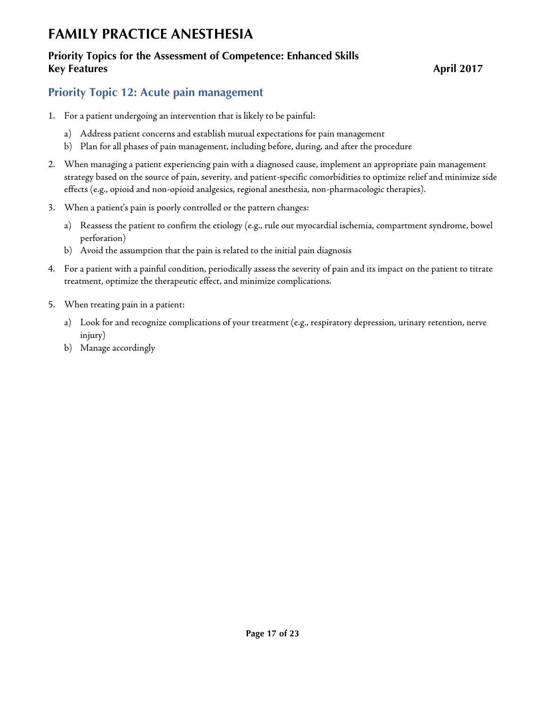## **Priority Topics for the Assessment of Competence: Enhanced Skills Key Features** April 2017

## <span id="page-16-0"></span>**Priority Topic 12: Acute pain management**

- 1. For a patient undergoing an intervention that is likely to be painful:
	- a) Address patient concerns and establish mutual expectations for pain management
	- b) Plan for all phases of pain management, including before, during, and after the procedure
- 2. When managing a patient experiencing pain with a diagnosed cause, implement an appropriate pain management strategy based on the source of pain, severity, and patient-specific comorbidities to optimize relief and minimize side effects (e.g., opioid and non-opioid analgesics, regional anesthesia, non-pharmacologic therapies).
- 3. When a patient's pain is poorly controlled or the pattern changes:
	- a) Reassess the patient to confirm the etiology (e.g., rule out myocardial ischemia, compartment syndrome, bowel perforation)
	- b) Avoid the assumption that the pain is related to the initial pain diagnosis
- 4. For a patient with a painful condition, periodically assess the severity of pain and its impact on the patient to titrate treatment, optimize the therapeutic effect, and minimize complications.
- 5. When treating pain in a patient:
	- a) Look for and recognize complications of your treatment (e.g., respiratory depression, urinary retention, nerve injury)
	- b) Manage accordingly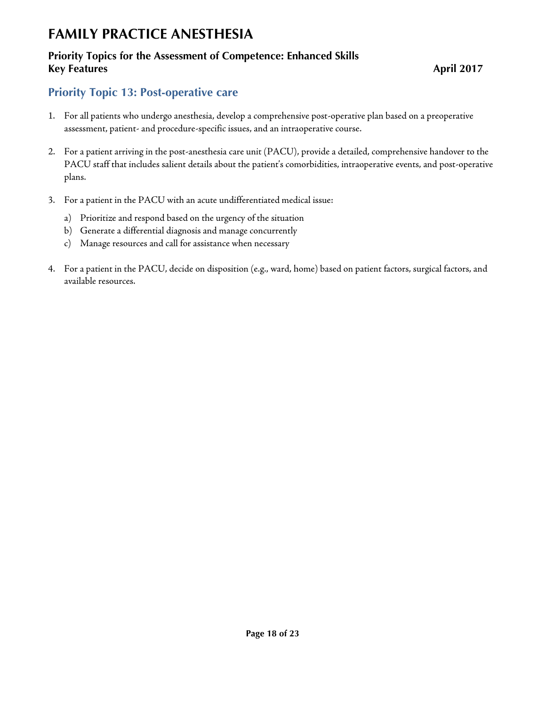## **Priority Topics for the Assessment of Competence: Enhanced Skills Key Features** April 2017

# <span id="page-17-0"></span>**Priority Topic 13: Post-operative care**

- 1. For all patients who undergo anesthesia, develop a comprehensive post-operative plan based on a preoperative assessment, patient- and procedure-specific issues, and an intraoperative course.
- 2. For a patient arriving in the post-anesthesia care unit (PACU), provide a detailed, comprehensive handover to the PACU staff that includes salient details about the patient's comorbidities, intraoperative events, and post-operative plans.
- 3. For a patient in the PACU with an acute undifferentiated medical issue:
	- a) Prioritize and respond based on the urgency of the situation
	- b) Generate a differential diagnosis and manage concurrently
	- c) Manage resources and call for assistance when necessary
- 4. For a patient in the PACU, decide on disposition (e.g., ward, home) based on patient factors, surgical factors, and available resources.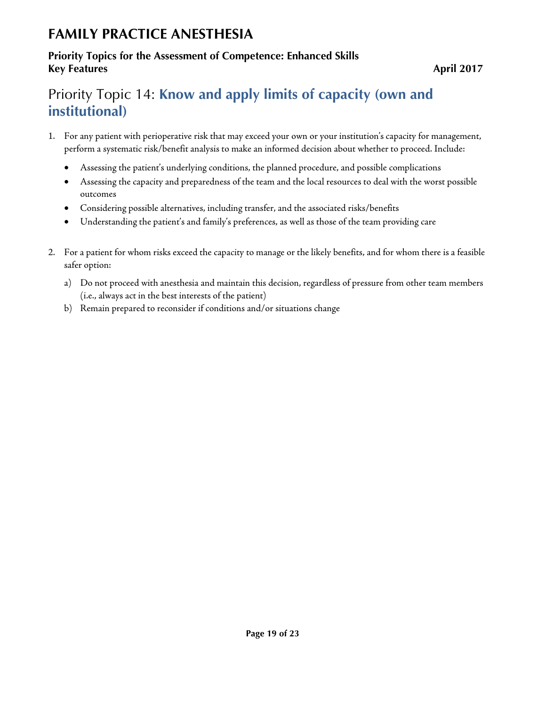## **Priority Topics for the Assessment of Competence: Enhanced Skills Key Features** April 2017

# <span id="page-18-0"></span>Priority Topic 14: **Know and apply limits of capacity (own and institutional)**

- 1. For any patient with perioperative risk that may exceed your own or your institution's capacity for management, perform a systematic risk/benefit analysis to make an informed decision about whether to proceed. Include:
	- Assessing the patient's underlying conditions, the planned procedure, and possible complications
	- Assessing the capacity and preparedness of the team and the local resources to deal with the worst possible outcomes
	- Considering possible alternatives, including transfer, and the associated risks/benefits
	- Understanding the patient's and family's preferences, as well as those of the team providing care
- 2. For a patient for whom risks exceed the capacity to manage or the likely benefits, and for whom there is a feasible safer option:
	- a) Do not proceed with anesthesia and maintain this decision, regardless of pressure from other team members (i.e., always act in the best interests of the patient)
	- b) Remain prepared to reconsider if conditions and/or situations change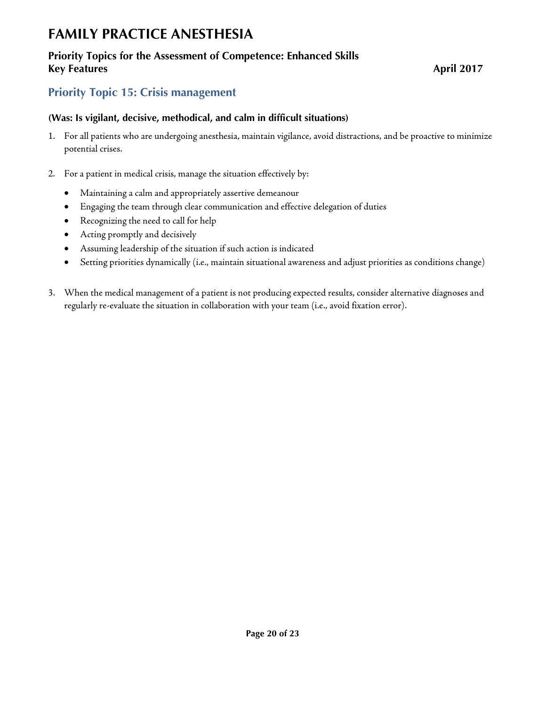### **Priority Topics for the Assessment of Competence: Enhanced Skills Key Features** April 2017

## <span id="page-19-0"></span>**Priority Topic 15: Crisis management**

### **(Was: Is vigilant, decisive, methodical, and calm in difficult situations)**

- 1. For all patients who are undergoing anesthesia, maintain vigilance, avoid distractions, and be proactive to minimize potential crises.
- 2. For a patient in medical crisis, manage the situation effectively by:
	- Maintaining a calm and appropriately assertive demeanour
	- Engaging the team through clear communication and effective delegation of duties
	- Recognizing the need to call for help
	- Acting promptly and decisively
	- Assuming leadership of the situation if such action is indicated
	- Setting priorities dynamically (i.e., maintain situational awareness and adjust priorities as conditions change)
- 3. When the medical management of a patient is not producing expected results, consider alternative diagnoses and regularly re-evaluate the situation in collaboration with your team (i.e., avoid fixation error).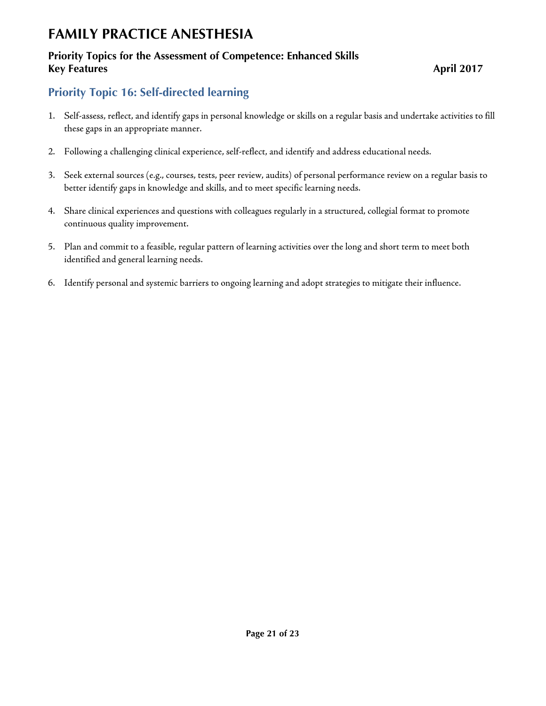## **Priority Topics for the Assessment of Competence: Enhanced Skills Key Features** April 2017

## <span id="page-20-0"></span>**Priority Topic 16: Self-directed learning**

- 1. Self-assess, reflect, and identify gaps in personal knowledge or skills on a regular basis and undertake activities to fill these gaps in an appropriate manner.
- 2. Following a challenging clinical experience, self-reflect, and identify and address educational needs.
- 3. Seek external sources (e.g., courses, tests, peer review, audits) of personal performance review on a regular basis to better identify gaps in knowledge and skills, and to meet specific learning needs.
- 4. Share clinical experiences and questions with colleagues regularly in a structured, collegial format to promote continuous quality improvement.
- 5. Plan and commit to a feasible, regular pattern of learning activities over the long and short term to meet both identified and general learning needs.
- 6. Identify personal and systemic barriers to ongoing learning and adopt strategies to mitigate their influence.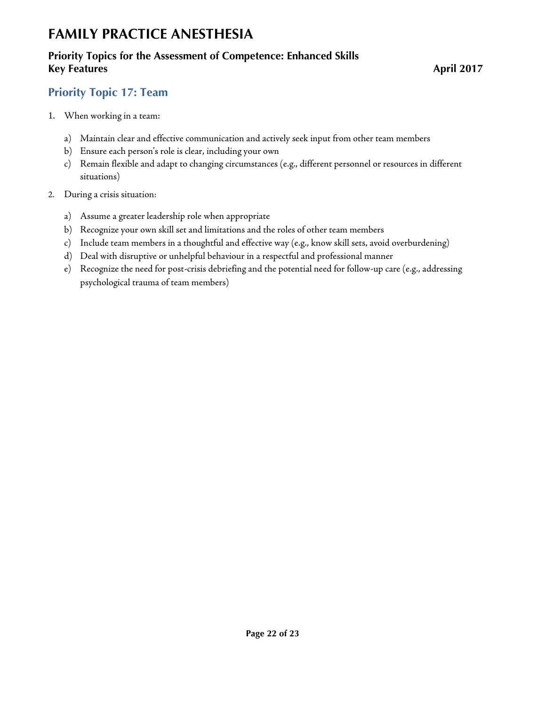## **Priority Topics for the Assessment of Competence: Enhanced Skills Key Features** April 2017

## <span id="page-21-0"></span>**Priority Topic 17: Team**

- 1. When working in a team:
	- a) Maintain clear and effective communication and actively seek input from other team members
	- b) Ensure each person's role is clear, including your own
	- c) Remain flexible and adapt to changing circumstances (e.g., different personnel or resources in different situations)
- 2. During a crisis situation:
	- a) Assume a greater leadership role when appropriate
	- b) Recognize your own skill set and limitations and the roles of other team members
	- c) Include team members in a thoughtful and effective way (e.g., know skill sets, avoid overburdening)
	- d) Deal with disruptive or unhelpful behaviour in a respectful and professional manner
	- e) Recognize the need for post-crisis debriefing and the potential need for follow-up care (e.g., addressing psychological trauma of team members)